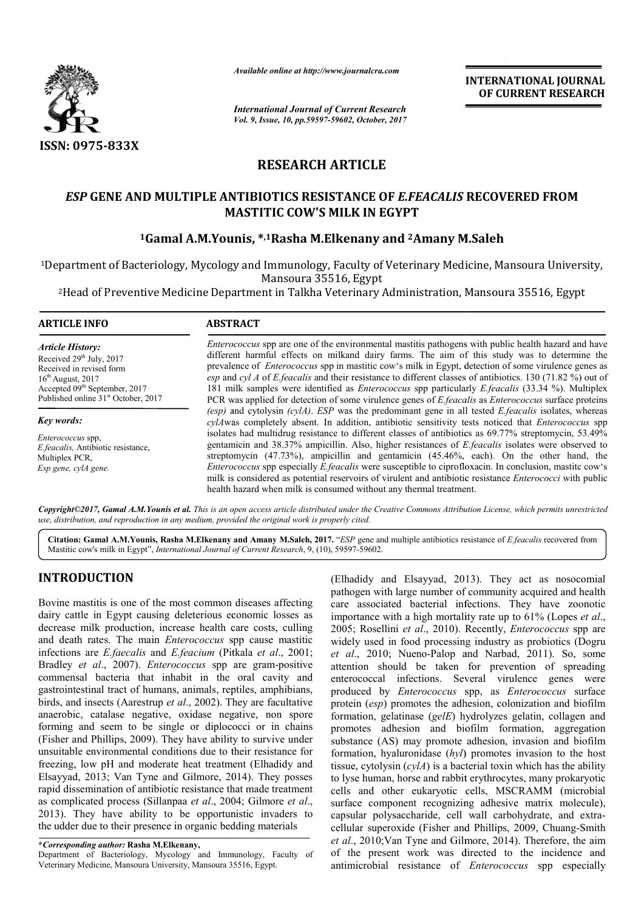

*Available online at http://www.journalcra.com*

*International Journal of Current Research Vol. 9, Issue, 10, pp.59597-59602, October, 2017* **INTERNATIONAL JOURNAL OF CURRENT RESEARCH**

# **RESEARCH ARTICLE**

# *ESP* **GENE AND MULTIPLE ANTIBIOTICS RESISTANCE OF**  *E.FEACALIS*  **RECOVERED FROM MASTITIC COW'S MILK IN EGYPT**

# **1Gamal A.M.Younis, \*,1Rasha M.Elkenany and 2Amany M.Saleh Amany**

<sup>1</sup>Department of Bacteriology, Mycology and Immunology, Faculty of Veterinary Medicine, Mansoura University,<br>Mansoura 35516, Egypt<br><sup>2</sup>Head of Preventive Medicine Department in Talkha Veterinary Administration, Mansoura 355

2Head of Preventive Medicine Department in Talkha Veterinary Administration, Mansoura Head

| <b>ARTICLE INFO</b>                                                                                                                                                                                    | <b>ABSTRACT</b>                                                                                                                                                                                                                                                                                                                                                                                                                                                                                                                                                                                                                                                                    |  |  |  |  |
|--------------------------------------------------------------------------------------------------------------------------------------------------------------------------------------------------------|------------------------------------------------------------------------------------------------------------------------------------------------------------------------------------------------------------------------------------------------------------------------------------------------------------------------------------------------------------------------------------------------------------------------------------------------------------------------------------------------------------------------------------------------------------------------------------------------------------------------------------------------------------------------------------|--|--|--|--|
| <b>Article History:</b><br>Received 29 <sup>th</sup> July, 2017<br>Received in revised form<br>$16th$ August, 2017<br>Accepted 09th September, 2017<br>Published online 31 <sup>st</sup> October, 2017 | <i>Enterococcus</i> spp are one of the environmental mastitis pathogens with public health hazard and have<br>different harmful effects on milkand dairy farms. The aim of this study was to determine the<br>prevalence of <i>Enterococcus</i> spp in mastitic cow's milk in Egypt, detection of some virulence genes as<br>esp and cyl A of E feacalis and their resistance to different classes of antibiotics. 130 (71.82 %) out of<br>181 milk samples were identified as <i>Enterococcus</i> spp particularly <i>E. feacalis</i> (33.34 %). Multiplex<br>PCR was applied for detection of some virulence genes of <i>E. feacalis</i> as <i>Enterococcus</i> surface proteins |  |  |  |  |
| Key words:                                                                                                                                                                                             | (esp) and cytolysin $(cy)A$ ). ESP was the predominant gene in all tested E.feacalis isolates, whereas<br>cylAwas completely absent. In addition, antibiotic sensitivity tests noticed that <i>Enterococcus</i> spp                                                                                                                                                                                                                                                                                                                                                                                                                                                                |  |  |  |  |
| <i>Enterococcus</i> spp.<br><i>E.feacalis</i> , Antibiotic resistance,<br>Multiplex PCR,<br>Esp gene, cylA gene.                                                                                       | isolates had multidrug resistance to different classes of antibiotics as 69.77% streptomycin, 53.49%<br>gentamicin and 38.37% ampicillin. Also, higher resistances of <i>E.feacalis</i> isolates were observed to<br>streptomycin (47.73%), ampicillin and gentamicin (45.46%, each). On the other hand, the<br><i>Enterococcus</i> spp especially <i>E.feacalis</i> were susceptible to ciprofloxacin. In conclusion, mastite cow's<br>milk is considered as potential reservoirs of virulent and antibiotic resistance <i>Enterococci</i> with public<br>health hazard when milk is consumed without any thermal treatment.                                                      |  |  |  |  |

Copyright©2017, Gamal A.M. Younis et al. This is an open access article distributed under the Creative Commons Attribution License, which permits unrestrictea *use, distribution, and reproduction in any medium, provided the original work is properly cited.*

Citation: Gamal A.M.Younis, Rasha M.Elkenany and Amany M.Saleh, 2017. "*ESP* gene and multiple antibiotics resistance of *E.feacalis* recovered from Mastitic cow's milk in Egypt", *International Journal of Current Research*, 9, (10), 59597-59602.

# **INTRODUCTION**

Bovine mastitis is one of the most common diseases affecting dairy cattle in Egypt causing deleterious economic losses as decrease milk production, increase health care costs, culling and death rates. The main *Enterococcus* spp cause mastitic infections are *E.faecalis* and *E.feacium* (Pitkala *et al*., 2001; Bradley *et al*., 2007). *Enterococcus* spp are gram-positive commensal bacteria that inhabit in the oral cavity and gastrointestinal tract of humans, animals, reptiles, amphibians, birds, and insects (Aarestrup *et al*., 2002). They are facultative anaerobic, catalase negative, oxidase negative, non spore forming and seem to be single or diplococci or in chains (Fisher and Phillips, 2009). They have ability to survive under unsuitable environmental conditions due to their resistance for freezing, low pH and moderate heat treatment (Elhadidy and Elsayyad, 2013; Van Tyne and Gilmore, 2014). They posses rapid dissemination of antibiotic resistance that made treatment as complicated process (Sillanpaa *et al*., 2004; Gilmore *et al*., 2013). They have ability to be opportunistic invaders to the udder due to their presence in organic bedding materials

**\****Corresponding author:* **Rasha M.Elkenany,** 

Department of Bacteriology, Mycology and Immunology, Faculty of Veterinary Medicine, Mansoura University, Mansoura 35516, Egypt.

(Elhadidy and Elsayyad, 2013). They act as nosocomial pathogen with large number of community acquired and health pathogen with large number of community acquired and health care associated bacterial infections. They have zoonotic importance with a high mortality rate up to 61% (Lopes *et al*., 2005; Rosellini *et al*., 2010). Recently, *Enterococcus* spp are widely used in food processing industry as probiotics (Dogru et al., 2010; Nueno-Palop and Narbad, 2011). So, some attention should be taken for prevention of spreading enterococcal infections. Several virulence genes were produced by *Enterococcus* spp, as *Enterococcus* surface protein (*esp*) promotes the adhesion, colonization and biofilm formation, gelatinase (*gelE*) hydrolyzes gelatin, collagen and protein (*esp*) promotes the adhesion, colonization and biofilm formation, gelatinase (*gelE*) hydrolyzes gelatin, collagen and promotes adhesion and biofilm formation, aggregation substance (AS) may promote adhesion, invasion and biofilm formation, hyaluronidase (*hyl*) promotes invasion to the host tissue, cytolysin (*cylA*) is a bacterial toxin which has the ability to lyse human, horse and rabbit erythrocytes, many prokaryotic cells and other eukaryotic cells, MSCRAMM (microbial surface component recognizing adhesive matrix molecule), capsular polysaccharide, cell wall carbohydrate, and extracellular superoxide (Fisher and Phillips, 2009, Chuang-Smith et al., 2010; Van Tyne and Gilmore, 2014). Therefore, the aim of the present work was directed to the incidence and antimicrobial resistance of *Enterococcus* spp especially attention should be taken for prevention of spreading<br>enterococcal infections. Several virulence genes were<br>produced by *Enterococcus* spp, as *Enterococcus* surface cytolysin  $(cy)lA$ ) is a bacterial toxin which has the ability human, horse and rabbit erythrocytes, many prokaryotic and other eukaryotic cells, MSCRAMM (microbial e component recognizing adhesive matrix molecule),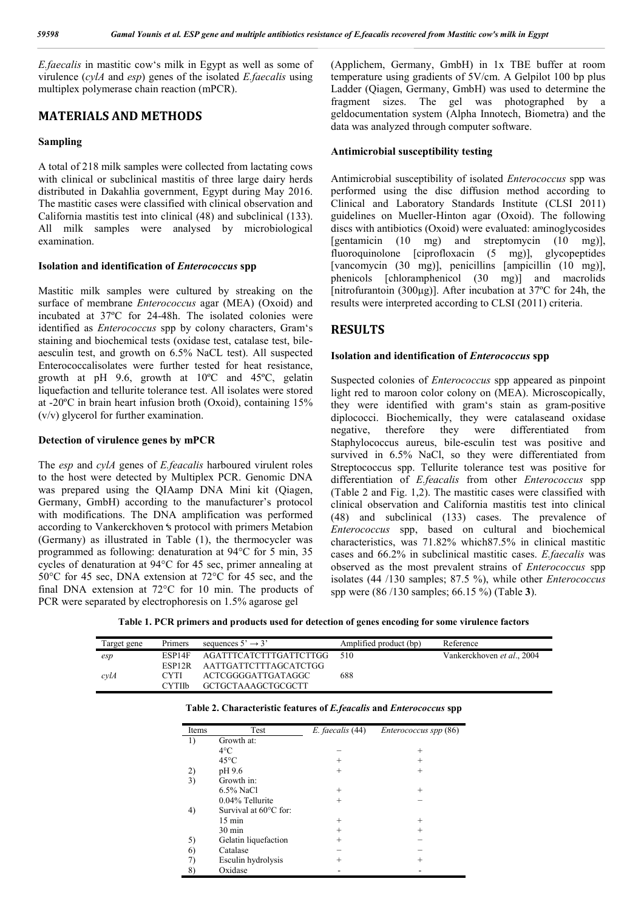*E.faecalis* in mastitic cow's milk in Egypt as well as some of virulence (*cylA* and *esp*) genes of the isolated *E.faecalis* using multiplex polymerase chain reaction (mPCR).

## **MATERIALS AND METHODS**

### **Sampling**

A total of 218 milk samples were collected from lactating cows with clinical or subclinical mastitis of three large dairy herds distributed in Dakahlia government, Egypt during May 2016. The mastitic cases were classified with clinical observation and California mastitis test into clinical (48) and subclinical (133). All milk samples were analysed by microbiological examination.

### **Isolation and identification of** *Enterococcus* **spp**

Mastitic milk samples were cultured by streaking on the surface of membrane *Enterococcus* agar (MEA) (Oxoid) and incubated at 37ºC for 24-48h. The isolated colonies were identified as *Enterococcus* spp by colony characters, Gram's staining and biochemical tests (oxidase test, catalase test, bileaesculin test, and growth on 6.5% NaCL test). All suspected Enterococcalisolates were further tested for heat resistance, growth at pH 9.6, growth at 10ºC and 45ºC, gelatin liquefaction and tellurite tolerance test. All isolates were stored at -20ºC in brain heart infusion broth (Oxoid), containing 15% (v/v) glycerol for further examination.

### **Detection of virulence genes by mPCR**

The *esp* and *cylA* genes of *E.feacalis* harboured virulent roles to the host were detected by Multiplex PCR. Genomic DNA was prepared using the QIAamp DNA Mini kit (Qiagen, Germany, GmbH) according to the manufacturer's protocol with modifications. The DNA amplification was performed according to Vankerckhoven**'**s protocol with primers Metabion (Germany) as illustrated in Table (1), the thermocycler was programmed as following: denaturation at 94°C for 5 min, 35 cycles of denaturation at 94°C for 45 sec, primer annealing at 50°C for 45 sec, DNA extension at 72°C for 45 sec, and the final DNA extension at 72°C for 10 min. The products of PCR were separated by electrophoresis on 1.5% agarose gel

(Applichem, Germany, GmbH) in 1x TBE buffer at room temperature using gradients of 5V/cm. A Gelpilot 100 bp plus Ladder (Qiagen, Germany, GmbH) was used to determine the fragment sizes. The gel was photographed by a geldocumentation system (Alpha Innotech, Biometra) and the data was analyzed through computer software.

### **Antimicrobial susceptibility testing**

Antimicrobial susceptibility of isolated *Enterococcus* spp was performed using the disc diffusion method according to Clinical and Laboratory Standards Institute (CLSI 2011) guidelines on Mueller-Hinton agar (Oxoid). The following discs with antibiotics (Oxoid) were evaluated: aminoglycosides [gentamicin (10 mg) and streptomycin (10 mg)], fluoroquinolone [ciprofloxacin (5 mg)], glycopeptides [vancomycin (30 mg)], penicillins [ampicillin (10 mg)], phenicols [chloramphenicol (30 mg)] and macrolids [nitrofurantoin (300μg)]. After incubation at 37ºC for 24h, the results were interpreted according to CLSI (2011) criteria.

## **RESULTS**

### **Isolation and identification of** *Enterococcus* **spp**

Suspected colonies of *Enterococcus* spp appeared as pinpoint light red to maroon color colony on (MEA). Microscopically, they were identified with gram's stain as gram-positive diplococci. Biochemically, they were catalaseand oxidase negative, therefore they were differentiated from Staphylococcus aureus, bile-esculin test was positive and survived in 6.5% NaCl, so they were differentiated from Streptococcus spp. Tellurite tolerance test was positive for differentiation of *E.feacalis* from other *Enterococcus* spp (Table 2 and Fig. 1,2). The mastitic cases were classified with clinical observation and California mastitis test into clinical (48) and subclinical (133) cases. The prevalence of *Enterococcus* spp, based on cultural and biochemical characteristics, was 71.82% which87.5% in clinical mastitic cases and 66.2% in subclinical mastitic cases. *E.faecalis* was observed as the most prevalent strains of *Enterococcus* spp isolates (44 /130 samples; 87.5 %), while other *Enterococcus* spp were (86 /130 samples; 66.15 %) (Table **3**).

**Table 1. PCR primers and products used for detection of genes encoding for some virulence factors**

| Target gene | Primers            | sequences $5' \rightarrow 3'$ | Amplified product (bp) | Reference                  |
|-------------|--------------------|-------------------------------|------------------------|----------------------------|
| esp         | ESP14F             | AGATTTCATCTTTGATTCTTGG        | 510                    | Vankerckhoven et al., 2004 |
|             | ESP <sub>12R</sub> | AATTGATTCTTTAGCATCTGG         |                        |                            |
| cvlA        | <b>CYTI</b>        | ACTCGGGGATTGATAGGC            | 688                    |                            |
|             | <b>CYTIIb</b>      | GCTGCTAAAGCTGCGCTT            |                        |                            |

| Items | Test                  | E. faecalis (44) | Enterococcus spp (86) |  |  |
|-------|-----------------------|------------------|-----------------------|--|--|
| 1)    | Growth at:            |                  |                       |  |  |
|       | $4^{\circ}$ C         |                  | $^{+}$                |  |  |
|       | $45^{\circ}$ C        | $^{+}$           | $^{+}$                |  |  |
| 2)    | pH 9.6                | $^{+}$           | $^{+}$                |  |  |
| 3)    | Growth in:            |                  |                       |  |  |
|       | $6.5\%$ NaCl          | $^{+}$           | $^{+}$                |  |  |
|       | 0.04% Tellurite       | $^{+}$           |                       |  |  |
| 4)    | Survival at 60°C for: |                  |                       |  |  |
|       | $15 \text{ min}$      | $^{+}$           | $^{+}$                |  |  |
|       | $30 \text{ min}$      | $^{+}$           | $^{+}$                |  |  |
| 5)    | Gelatin liquefaction  | $^{+}$           |                       |  |  |
| 6)    | Catalase              |                  |                       |  |  |
| 7)    | Esculin hydrolysis    | $^+$             | $^{+}$                |  |  |
| 8)    | Oxidase               |                  |                       |  |  |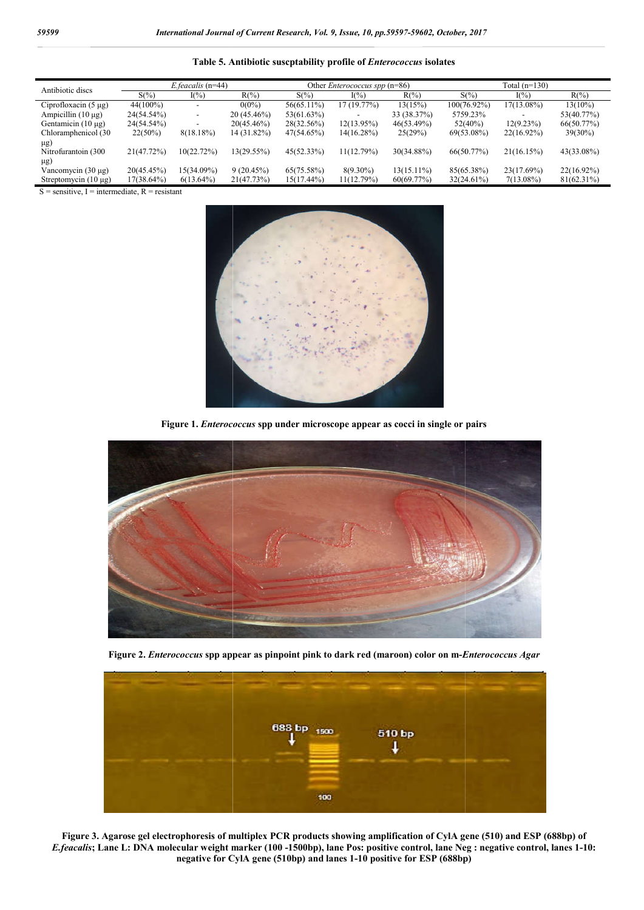**Table 5. Antibiotic suscptability profile of .** *Enterococcus* **isolates**

| Antibiotic discs          | E.feacalis (n=44) |               |               | Other <i>Enterococcus spp</i> $(n=86)$ |             |               | Total (n=130)  |               |               |
|---------------------------|-------------------|---------------|---------------|----------------------------------------|-------------|---------------|----------------|---------------|---------------|
|                           | $S(\% )$          | $I(\%)$       | $R(\%)$       | $S(\% )$                               | $I(\%)$     | $R(\%)$       | $S(\% )$       | $I(\%)$       | $R(\%)$       |
| Ciprofloxacin $(5 \mu g)$ | 44(100%)          |               | $0(0\%)$      | 56(65.11%)                             | 17 (19.77%) | 13(15%)       | $100(76.92\%)$ | 17(13.08%)    | $13(10\%)$    |
| Ampicillin $(10 \mu g)$   | 24(54.54%)        | -             | $20(45.46\%)$ | 53(61.63%)                             |             | 33 (38.37%)   | 5759.23%       |               | 53(40.77%)    |
| Gentamicin $(10 \mu g)$   | 24(54.54%)        |               | 20(45.46%)    | 28(32.56%)                             | 12(13.95%)  | 46(53.49%)    | $52(40\%)$     | 12(9.23%)     | 66(50.77%)    |
| Chloramphenicol (30)      | 22(50%)           | $8(18.18\%)$  | 14 (31.82%)   | 47(54.65%)                             | 14(16.28%)  | 25(29%)       | 69(53.08%)     | $22(16.92\%)$ | $39(30\%)$    |
| $\mu$ g)                  |                   |               |               |                                        |             |               |                |               |               |
| Nitrofurantoin (300       | 21(47.72%)        | $10(22.72\%)$ | 13(29.55%)    | 45(52.33%)                             | 11(12.79%)  | $30(34.88\%)$ | 66(50.77%)     | 21(16.15%)    | 43(33.08%)    |
| $\mu$ g)                  |                   |               |               |                                        |             |               |                |               |               |
| Vancomycin (30 µg)        | 20(45.45%)        | 15(34.09%)    | 9(20.45%)     | 65(75.58%)                             | $8(9.30\%)$ | $13(15.11\%)$ | 85(65.38%)     | 23(17.69%)    | 22(16.92%)    |
| Streptomycin $(10 \mu g)$ | $17(38.64\%)$     | $6(13.64\%)$  | 21(47.73%)    | 15(17.44%)                             | 11(12.79%)  | 60(69.77%)    | 32(24.61%)     | $7(13.08\%)$  | $81(62.31\%)$ |

 $S =$  sensitive, I = intermediate, R = resistant



Figure 1. *Enterococcus* spp under microscope appear as cocci in single or pairs



**Figure 2.** *Enterococcus* **spp appear as pinpoint pink to dark red (maroo (maroon) color on m-***Enterococcus Agar Enterococcus* 



**Figure 3. Agarose gel electrophoresis of multiplex PCR products showing amplification of CylA gene (510) and ESP (688bp) of**  *E.feacalis*; Lane L: DNA molecular weight marker (100 -1500bp), lane Pos: positive control, lane Neg : negative control, lanes 1-10: **negative for CylA gene (510bp) and lane lanes 1-10 positive for ESP (688bp)**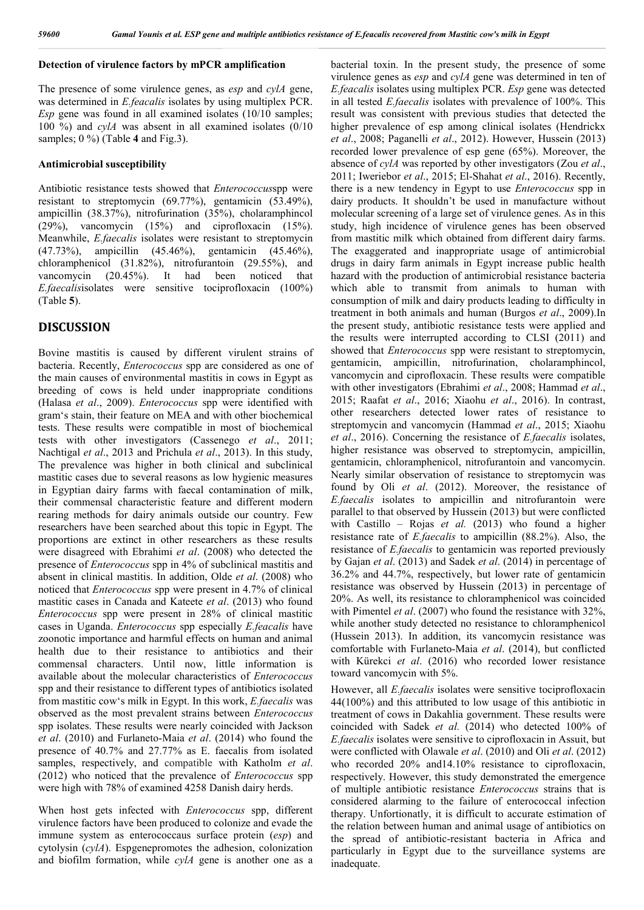### **Detection of virulence factors by mPCR amplification**

The presence of some virulence genes, as *esp* and *cylA* gene, was determined in *E.feacalis* isolates by using multiplex PCR. *Esp* gene was found in all examined isolates (10/10 samples; 100 %) and *cylA* was absent in all examined isolates (0/10 samples; 0 %) (Table **4** and Fig.3).

### **Antimicrobial susceptibility**

Antibiotic resistance tests showed that *Enterococcus*spp were resistant to streptomycin (69.77%), gentamicin (53.49%), ampicillin (38.37%), nitrofurination (35%), cholaramphincol (29%), vancomycin (15%) and ciprofloxacin (15%). Meanwhile, *E.faecalis* isolates were resistant to streptomycin (47.73%), ampicillin (45.46%), gentamicin (45.46%), chloramphenicol (31.82%), nitrofurantoin (29.55%), and vancomycin (20.45%). It had been noticed that *E.faecalis*isolates were sensitive tociprofloxacin (100%) (Table **5**).

## **DISCUSSION**

Bovine mastitis is caused by different virulent strains of bacteria. Recently, *Enterococcus* spp are considered as one of the main causes of environmental mastitis in cows in Egypt as breeding of cows is held under inappropriate conditions (Halasa *et al*., 2009). *Enterococcus* spp were identified with gram's stain, their feature on MEA and with other biochemical tests. These results were compatible in most of biochemical tests with other investigators (Cassenego *et al*., 2011; Nachtigal *et al*., 2013 and Prichula *et al*., 2013). In this study, The prevalence was higher in both clinical and subclinical mastitic cases due to several reasons as low hygienic measures in Egyptian dairy farms with faecal contamination of milk, their commensal characteristic feature and different modern rearing methods for dairy animals outside our country. Few researchers have been searched about this topic in Egypt. The proportions are extinct in other researchers as these results were disagreed with Ebrahimi *et al*. (2008) who detected the presence of *Enterococcus* spp in 4% of subclinical mastitis and absent in clinical mastitis. In addition, Olde *et al*. (2008) who noticed that *Enterococcus* spp were present in 4.7% of clinical mastitic cases in Canada and Kateete *et al*. (2013) who found *Enterococcus* spp were present in 28% of clinical mastitic cases in Uganda. *Enterococcus* spp especially *E.feacalis* have zoonotic importance and harmful effects on human and animal health due to their resistance to antibiotics and their commensal characters. Until now, little information is available about the molecular characteristics of *Enterococcus* spp and their resistance to different types of antibiotics isolated from mastitic cow's milk in Egypt. In this work, *E.faecalis* was observed as the most prevalent strains between *Enterococcus* spp isolates. These results were nearly coincided with Jackson *et al*. (2010) and Furlaneto-Maia *et al*. (2014) who found the presence of 40.7% and 27.77% as E. faecalis from isolated samples, respectively, and compatible with Katholm *et al*. (2012) who noticed that the prevalence of *Enterococcus* spp were high with 78% of examined 4258 Danish dairy herds.

When host gets infected with *Enterococcus* spp, different virulence factors have been produced to colonize and evade the immune system as enterococcaus surface protein (*esp*) and cytolysin (*cylA*). Espgenepromotes the adhesion, colonization and biofilm formation, while *cylA* gene is another one as a bacterial toxin. In the present study, the presence of some virulence genes as *esp* and *cylA* gene was determined in ten of *E.feacalis* isolates using multiplex PCR. *Esp* gene was detected in all tested *E.faecalis* isolates with prevalence of 100%. This result was consistent with previous studies that detected the higher prevalence of esp among clinical isolates (Hendrickx *et al*., 2008; Paganelli *et al*., 2012). However, Hussein (2013) recorded lower prevalence of esp gene (65%). Moreover, the absence of *cylA* was reported by other investigators (Zou *et al*., 2011; Iweriebor *et al*., 2015; El-Shahat *et al*., 2016). Recently, there is a new tendency in Egypt to use *Enterococcus* spp in dairy products. It shouldn't be used in manufacture without molecular screening of a large set of virulence genes. As in this study, high incidence of virulence genes has been observed from mastitic milk which obtained from different dairy farms. The exaggerated and inappropriate usage of antimicrobial drugs in dairy farm animals in Egypt increase public health hazard with the production of antimicrobial resistance bacteria which able to transmit from animals to human with consumption of milk and dairy products leading to difficulty in treatment in both animals and human (Burgos *et al*., 2009).In the present study, antibiotic resistance tests were applied and the results were interrupted according to CLSI (2011) and showed that *Enterococcus* spp were resistant to streptomycin, gentamicin, ampicillin, nitrofurination, cholaramphincol, vancomycin and ciprofloxacin. These results were compatible with other investigators (Ebrahimi *et al*., 2008; Hammad *et al*., 2015; Raafat *et al*., 2016; Xiaohu *et al*., 2016). In contrast, other researchers detected lower rates of resistance to streptomycin and vancomycin (Hammad *et al*., 2015; Xiaohu *et al*., 2016). Concerning the resistance of *E.faecalis* isolates, higher resistance was observed to streptomycin, ampicillin, gentamicin, chloramphenicol, nitrofurantoin and vancomycin. Nearly similar observation of resistance to streptomycin was found by Oli *et al*. (2012). Moreover, the resistance of *E.faecalis* isolates to ampicillin and nitrofurantoin were parallel to that observed by Hussein (2013) but were conflicted with Castillo – Rojas *et al.* (2013) who found a higher resistance rate of *E.faecalis* to ampicillin (88.2%). Also, the resistance of *E.faecalis* to gentamicin was reported previously by Gajan *et al*. (2013) and Sadek *et al*. (2014) in percentage of 36.2% and 44.7%, respectively, but lower rate of gentamicin resistance was observed by Hussein (2013) in percentage of 20%. As well, its resistance to chloramphenicol was coincided with Pimentel *et al*. (2007) who found the resistance with 32%, while another study detected no resistance to chloramphenicol (Hussein 2013). In addition, its vancomycin resistance was comfortable with Furlaneto-Maia *et al*. (2014), but conflicted with Kürekci *et al*. (2016) who recorded lower resistance toward vancomycin with 5%.

However, all *E.faecalis* isolates were sensitive tociprofloxacin 44(100%) and this attributed to low usage of this antibiotic in treatment of cows in Dakahlia government. These results were coincided with Sadek *et al.* (2014) who detected 100% of *E.faecalis* isolates were sensitive to ciprofloxacin in Assuit, but were conflicted with Olawale *et al*. (2010) and Oli *et al*. (2012) who recorded 20% and 14.10% resistance to ciprofloxacin, respectively. However, this study demonstrated the emergence of multiple antibiotic resistance *Enterococcus* strains that is considered alarming to the failure of enterococcal infection therapy. Unfortionatly, it is difficult to accurate estimation of the relation between human and animal usage of antibiotics on the spread of antibiotic-resistant bacteria in Africa and particularly in Egypt due to the surveillance systems are inadequate.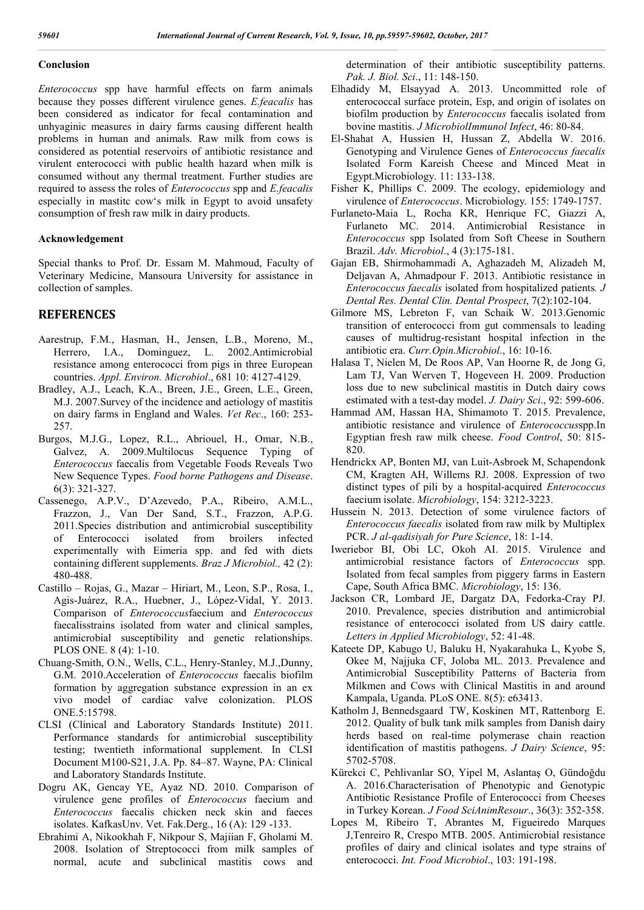#### **Conclusion**

*Enterococcus* spp have harmful effects on farm animals because they posses different virulence genes. *E.feacalis* has been considered as indicator for fecal contamination and unhyaginic measures in dairy farms causing different health problems in human and animals. Raw milk from cows is considered as potential reservoirs of antibiotic resistance and virulent enterococci with public health hazard when milk is consumed without any thermal treatment. Further studies are required to assess the roles of *Enterococcus* spp and *E.feacalis* especially in mastitc cow's milk in Egypt to avoid unsafety consumption of fresh raw milk in dairy products.

#### **Acknowledgement**

Special thanks to Prof. Dr. Essam M. Mahmoud, Faculty of Veterinary Medicine, Mansoura University for assistance in collection of samples.

### **REFERENCES**

- Aarestrup, F.M., Hasman, H., Jensen, L.B., Moreno, M., Herrero, I.A., Dominguez, L. 2002.Antimicrobial resistance among enterococci from pigs in three European countries. *Appl. Environ. Microbiol*., 681 10: 4127-4129.
- Bradley, A.J., Leach, K.A., Breen, J.E., Green, L.E., Green, M.J. 2007.Survey of the incidence and aetiology of mastitis on dairy farms in England and Wales. *Vet Rec*., 160: 253- 257.
- Burgos, M.J.G., Lopez, R.L., Abriouel, H., Omar, N.B., Galvez, A. 2009.Multilocus Sequence Typing of *Enterococcus* faecalis from Vegetable Foods Reveals Two New Sequence Types. *Food borne Pathogens and Disease*. 6(3): 321-327.
- Cassenego, A.P.V., D'Azevedo, P.A., Ribeiro, A.M.L., Frazzon, J., Van Der Sand, S.T., Frazzon, A.P.G. 2011.Species distribution and antimicrobial susceptibility of Enterococci isolated from broilers infected experimentally with Eimeria spp. and fed with diets containing different supplements. *Braz J Microbiol.,* 42 (2): 480-488.
- Castillo Rojas, G., Mazar Hiriart, M., Leon, S.P., Rosa, I., Agis-Juárez, R.A., Huebner, J., López-Vidal, Y. 2013. Comparison of *Enterococcus*faecium and *Enterococcus* faecalisstrains isolated from water and clinical samples, antimicrobial susceptibility and genetic relationships. PLOS ONE. 8 (4): 1-10.
- Chuang-Smith, O.N., Wells, C.L., Henry-Stanley, M.J.,Dunny, G.M. 2010.Acceleration of *Enterococcus* faecalis biofilm formation by aggregation substance expression in an ex vivo model of cardiac valve colonization. PLOS ONE.5:15798.
- CLSI (Clinical and Laboratory Standards Institute) 2011. Performance standards for antimicrobial susceptibility testing; twentieth informational supplement. In CLSI Document M100-S21, J.A. Pp. 84–87. Wayne, PA: Clinical and Laboratory Standards Institute.
- Dogru AK, Gencay YE, Ayaz ND. 2010. Comparison of virulence gene profiles of *Enterococcus* faecium and *Enterococcus* faecalis chicken neck skin and faeces isolates. KafkasUnv. Vet. Fak.Derg., 16 (A): 129 -133.
- Ebrahimi A, Nikookhah F, Nikpour S, Majiian F, Gholami M. 2008. Isolation of Streptococci from milk samples of normal, acute and subclinical mastitis cows and

determination of their antibiotic susceptibility patterns. *Pak. J. Biol. Sci*., 11: 148-150.

- Elhadidy M, Elsayyad A. 2013. Uncommitted role of enterococcal surface protein, Esp, and origin of isolates on biofilm production by *Enterococcus* faecalis isolated from bovine mastitis. *J MicrobiolImmunol Infect*, 46: 80-84.
- El-Shahat A, Hussien H, Hussan Z, Abdella W. 2016. Genotyping and Virulence Genes of *Enterococcus faecalis*  Isolated Form Kareish Cheese and Minced Meat in Egypt.Microbiology. 11: 133-138.
- Fisher K, Phillips C. 2009. The ecology, epidemiology and virulence of *Enterococcus*. Microbiology. 155: 1749-1757.
- Furlaneto-Maia L, Rocha KR, Henrique FC, Giazzi A, Furlaneto MC. 2014. Antimicrobial Resistance in *Enterococcus* spp Isolated from Soft Cheese in Southern Brazil. *Adv. Microbiol*., 4 (3):175-181.
- Gajan EB, Shirmohammadi A, Aghazadeh M, Alizadeh M, Deljavan A, Ahmadpour F. 2013. Antibiotic resistance in *Enterococcus faecalis* isolated from hospitalized patients*. J Dental Res. Dental Clin. Dental Prospect*, 7(2):102-104.
- Gilmore MS, Lebreton F, van Schaik W. 2013.Genomic transition of enterococci from gut commensals to leading causes of multidrug-resistant hospital infection in the antibiotic era. *Curr.Opin.Microbiol*., 16: 10-16.
- Halasa T, Nielen M, De Roos AP, Van Hoorne R, de Jong G, Lam TJ, Van Werven T, Hogeveen H. 2009. Production loss due to new subclinical mastitis in Dutch dairy cows estimated with a test-day model. *J. Dairy Sci*., 92: 599-606.
- Hammad AM, Hassan HA, Shimamoto T. 2015. Prevalence, antibiotic resistance and virulence of *Enterococcus*spp.In Egyptian fresh raw milk cheese. *Food Control*, 50: 815- 820.
- Hendrickx AP, Bonten MJ, van Luit-Asbroek M, Schapendonk CM, Kragten AH, Willems RJ. 2008. Expression of two distinct types of pili by a hospital-acquired *Enterococcus* faecium isolate. *Microbiology*, 154: 3212-3223.
- Hussein N. 2013. Detection of some virulence factors of *Enterococcus faecalis* isolated from raw milk by Multiplex PCR. *J al-qadisiyah for Pure Science*, 18: 1-14.
- Iweriebor BI, Obi LC, Okoh AI. 2015. Virulence and antimicrobial resistance factors of *Enterococcus* spp. Isolated from fecal samples from piggery farms in Eastern Cape, South Africa BMC. *Microbiology*, 15: 136.
- Jackson CR, Lombard JE, Dargatz DA, Fedorka-Cray PJ. 2010. Prevalence, species distribution and antimicrobial resistance of enterococci isolated from US dairy cattle. *Letters in Applied Microbiology*, 52: 41-48.
- Kateete DP, Kabugo U, Baluku H, Nyakarahuka L, Kyobe S, Okee M, Najjuka CF, Joloba ML. 2013. Prevalence and Antimicrobial Susceptibility Patterns of Bacteria from Milkmen and Cows with Clinical Mastitis in and around Kampala, Uganda. PLoS ONE. 8(5): e63413.
- Katholm J, Bennedsgaard TW, Koskinen MT, Rattenborg E. 2012. Quality of bulk tank milk samples from Danish dairy herds based on real-time polymerase chain reaction identification of mastitis pathogens. *J Dairy Science*, 95: 5702-5708.
- Kürekci C, Pehlivanlar SO, Yipel M, Aslantaş O, Gündoğdu A. 2016.Characterisation of Phenotypic and Genotypic Antibiotic Resistance Profile of Enterococci from Cheeses in Turkey Korean. *J Food SciAnimResour*., 36(3): 352-358.
- Lopes M, Ribeiro T, Abrantes M, Figueiredo Marques J,Tenreiro R, Crespo MTB. 2005. Antimicrobial resistance profiles of dairy and clinical isolates and type strains of enterococci. *Int. Food Microbiol*., 103: 191-198.